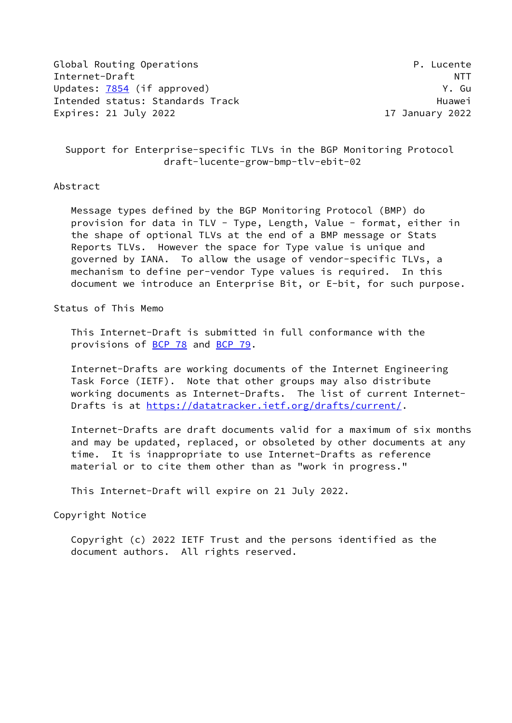Global Routing Operations **P. Lucente** Internet-Draft NTT Updates: [7854](https://datatracker.ietf.org/doc/pdf/rfc7854) (if approved) South Contract Contract Contract Contract Contract Contract Contract Contract Contract Contract Contract Contract Contract Contract Contract Contract Contract Contract Contract Contract Contract Intended status: Standards Track Track Huawei Expires: 21 July 2022 17 January 2022

 Support for Enterprise-specific TLVs in the BGP Monitoring Protocol draft-lucente-grow-bmp-tlv-ebit-02

#### Abstract

 Message types defined by the BGP Monitoring Protocol (BMP) do provision for data in TLV - Type, Length, Value - format, either in the shape of optional TLVs at the end of a BMP message or Stats Reports TLVs. However the space for Type value is unique and governed by IANA. To allow the usage of vendor-specific TLVs, a mechanism to define per-vendor Type values is required. In this document we introduce an Enterprise Bit, or E-bit, for such purpose.

#### Status of This Memo

 This Internet-Draft is submitted in full conformance with the provisions of **BCP 78** and **BCP 79**.

 Internet-Drafts are working documents of the Internet Engineering Task Force (IETF). Note that other groups may also distribute working documents as Internet-Drafts. The list of current Internet Drafts is at<https://datatracker.ietf.org/drafts/current/>.

 Internet-Drafts are draft documents valid for a maximum of six months and may be updated, replaced, or obsoleted by other documents at any time. It is inappropriate to use Internet-Drafts as reference material or to cite them other than as "work in progress."

This Internet-Draft will expire on 21 July 2022.

Copyright Notice

 Copyright (c) 2022 IETF Trust and the persons identified as the document authors. All rights reserved.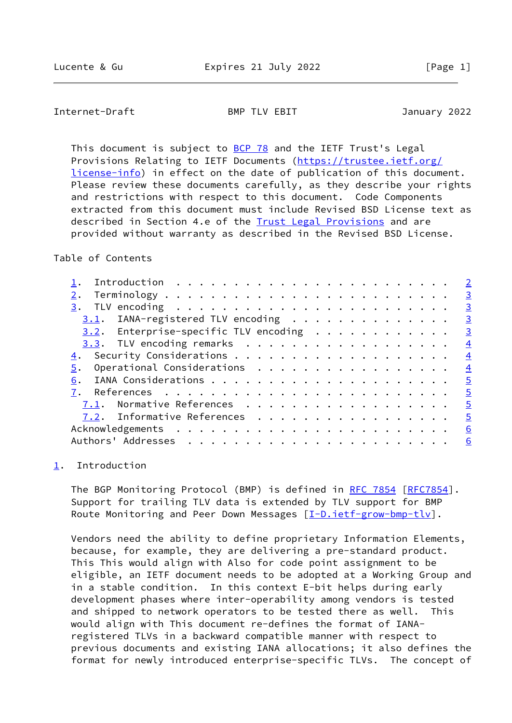# <span id="page-1-1"></span>Internet-Draft BMP TLV EBIT January 2022

This document is subject to [BCP 78](https://datatracker.ietf.org/doc/pdf/bcp78) and the IETF Trust's Legal Provisions Relating to IETF Documents ([https://trustee.ietf.org/](https://trustee.ietf.org/license-info) [license-info](https://trustee.ietf.org/license-info)) in effect on the date of publication of this document. Please review these documents carefully, as they describe your rights and restrictions with respect to this document. Code Components extracted from this document must include Revised BSD License text as described in Section 4.e of the **Trust Legal Provisions** and are provided without warranty as described in the Revised BSD License.

#### Table of Contents

|                                          | $\overline{2}$ |
|------------------------------------------|----------------|
|                                          | $\overline{3}$ |
|                                          | $\overline{3}$ |
| $3.1$ . IANA-registered TLV encoding     | $\overline{3}$ |
| $3.2$ . Enterprise-specific TLV encoding | $\overline{3}$ |
| $3.3$ . TLV encoding remarks             | $\overline{4}$ |
|                                          | $\overline{4}$ |
| Operational Considerations<br>5.         | $\overline{4}$ |
| 6.                                       | $\overline{5}$ |
|                                          | $\overline{5}$ |
| 7.1. Normative References                | $\overline{5}$ |
| 7.2. Informative References              | $\overline{5}$ |
|                                          | 6              |
|                                          | 6              |
|                                          |                |

## <span id="page-1-0"></span>[1](#page-1-0). Introduction

The BGP Monitoring Protocol (BMP) is defined in [RFC 7854](https://datatracker.ietf.org/doc/pdf/rfc7854) [\[RFC7854](https://datatracker.ietf.org/doc/pdf/rfc7854)]. Support for trailing TLV data is extended by TLV support for BMP Route Monitoring and Peer Down Messages  $[\underline{I-D.ietf-grow-bmp-tlv}]$ .

 Vendors need the ability to define proprietary Information Elements, because, for example, they are delivering a pre-standard product. This This would align with Also for code point assignment to be eligible, an IETF document needs to be adopted at a Working Group and in a stable condition. In this context E-bit helps during early development phases where inter-operability among vendors is tested and shipped to network operators to be tested there as well. This would align with This document re-defines the format of IANA registered TLVs in a backward compatible manner with respect to previous documents and existing IANA allocations; it also defines the format for newly introduced enterprise-specific TLVs. The concept of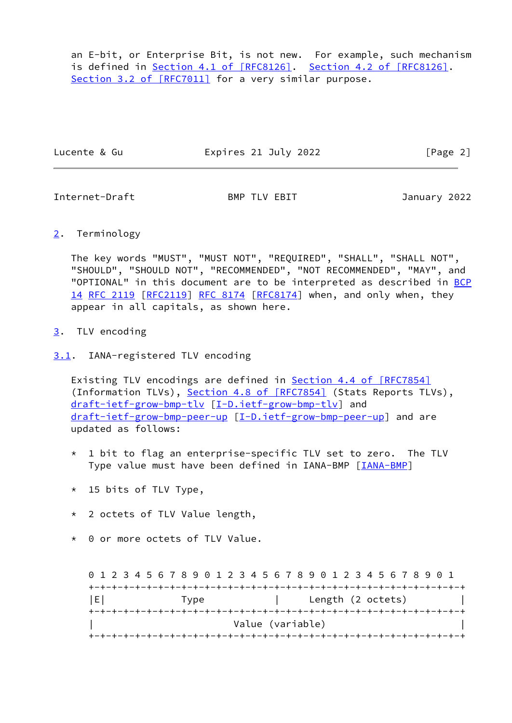an E-bit, or Enterprise Bit, is not new. For example, such mechanism is defined in Section [4.1 of \[RFC8126\]](https://datatracker.ietf.org/doc/pdf/rfc8126#section-4.1). Section [4.2 of \[RFC8126\]](https://datatracker.ietf.org/doc/pdf/rfc8126#section-4.2). Section [3.2 of \[RFC7011\]](https://datatracker.ietf.org/doc/pdf/rfc7011#section-3.2) for a very similar purpose.

Lucente & Gu **Expires 21 July 2022** [Page 2]

<span id="page-2-1"></span>Internet-Draft BMP TLV EBIT January 2022

<span id="page-2-0"></span>[2](#page-2-0). Terminology

 The key words "MUST", "MUST NOT", "REQUIRED", "SHALL", "SHALL NOT", "SHOULD", "SHOULD NOT", "RECOMMENDED", "NOT RECOMMENDED", "MAY", and "OPTIONAL" in this document are to be interpreted as described in [BCP](https://datatracker.ietf.org/doc/pdf/bcp14) [14](https://datatracker.ietf.org/doc/pdf/bcp14) [RFC 2119 \[RFC2119](https://datatracker.ietf.org/doc/pdf/rfc2119)] [RFC 8174](https://datatracker.ietf.org/doc/pdf/rfc8174) [\[RFC8174](https://datatracker.ietf.org/doc/pdf/rfc8174)] when, and only when, they appear in all capitals, as shown here.

- <span id="page-2-2"></span>[3](#page-2-2). TLV encoding
- <span id="page-2-3"></span>[3.1](#page-2-3). IANA-registered TLV encoding

Existing TLV encodings are defined in **Section [4.4 of \[RFC7854\]](https://datatracker.ietf.org/doc/pdf/rfc7854#section-4.4)** (Information TLVs), Section [4.8 of \[RFC7854\]](https://datatracker.ietf.org/doc/pdf/rfc7854#section-4.8) (Stats Reports TLVs), [draft-ietf-grow-bmp-tlv](https://datatracker.ietf.org/doc/pdf/draft-ietf-grow-bmp-tlv) [\[I-D.ietf-grow-bmp-tlv](#page-4-6)] and [draft-ietf-grow-bmp-peer-up](https://datatracker.ietf.org/doc/pdf/draft-ietf-grow-bmp-peer-up) [\[I-D.ietf-grow-bmp-peer-up](#page-4-7)] and are updated as follows:

- \* 1 bit to flag an enterprise-specific TLV set to zero. The TLV Type value must have been defined in IANA-BMP [\[IANA-BMP](#page-5-2)]
- \* 15 bits of TLV Type,
- \* 2 octets of TLV Value length,
- \* 0 or more octets of TLV Value.

 0 1 2 3 4 5 6 7 8 9 0 1 2 3 4 5 6 7 8 9 0 1 2 3 4 5 6 7 8 9 0 1 +-+-+-+-+-+-+-+-+-+-+-+-+-+-+-+-+-+-+-+-+-+-+-+-+-+-+-+-+-+-+-+-+ |E| Type | Length (2 octets) +-+-+-+-+-+-+-+-+-+-+-+-+-+-+-+-+-+-+-+-+-+-+-+-+-+-+-+-+-+-+-+-+ | Value (variable) | +-+-+-+-+-+-+-+-+-+-+-+-+-+-+-+-+-+-+-+-+-+-+-+-+-+-+-+-+-+-+-+-+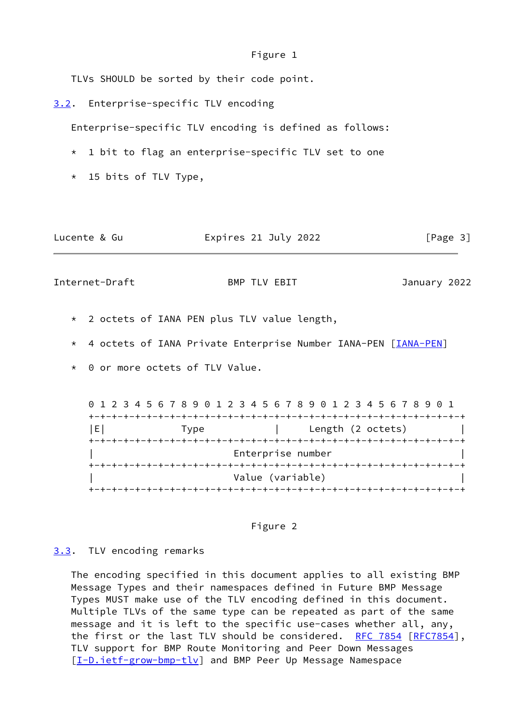Figure 1

TLVs SHOULD be sorted by their code point.

<span id="page-3-0"></span>[3.2](#page-3-0). Enterprise-specific TLV encoding

Enterprise-specific TLV encoding is defined as follows:

- \* 1 bit to flag an enterprise-specific TLV set to one
- \* 15 bits of TLV Type,

| Expires 21 July 2022<br>Lucente & Gu | [Page 3] |
|--------------------------------------|----------|
|--------------------------------------|----------|

<span id="page-3-2"></span>Internet-Draft BMP TLV EBIT January 2022

- \* 2 octets of IANA PEN plus TLV value length,
- \* 4 octets of IANA Private Enterprise Number IANA-PEN [\[IANA-PEN](#page-5-3)]
- \* 0 or more octets of TLV Value.

 0 1 2 3 4 5 6 7 8 9 0 1 2 3 4 5 6 7 8 9 0 1 2 3 4 5 6 7 8 9 0 1 +-+-+-+-+-+-+-+-+-+-+-+-+-+-+-+-+-+-+-+-+-+-+-+-+-+-+-+-+-+-+-+-+ |E| Type | Length (2 octets) +-+-+-+-+-+-+-+-+-+-+-+-+-+-+-+-+-+-+-+-+-+-+-+-+-+-+-+-+-+-+-+-+ | Enterprise number | +-+-+-+-+-+-+-+-+-+-+-+-+-+-+-+-+-+-+-+-+-+-+-+-+-+-+-+-+-+-+-+-+ Value (variable) +-+-+-+-+-+-+-+-+-+-+-+-+-+-+-+-+-+-+-+-+-+-+-+-+-+-+-+-+-+-+-+-+



### <span id="page-3-1"></span>[3.3](#page-3-1). TLV encoding remarks

 The encoding specified in this document applies to all existing BMP Message Types and their namespaces defined in Future BMP Message Types MUST make use of the TLV encoding defined in this document. Multiple TLVs of the same type can be repeated as part of the same message and it is left to the specific use-cases whether all, any, the first or the last TLV should be considered. [RFC 7854](https://datatracker.ietf.org/doc/pdf/rfc7854) [[RFC7854](https://datatracker.ietf.org/doc/pdf/rfc7854)], TLV support for BMP Route Monitoring and Peer Down Messages [\[I-D.ietf-grow-bmp-tlv](#page-4-6)] and BMP Peer Up Message Namespace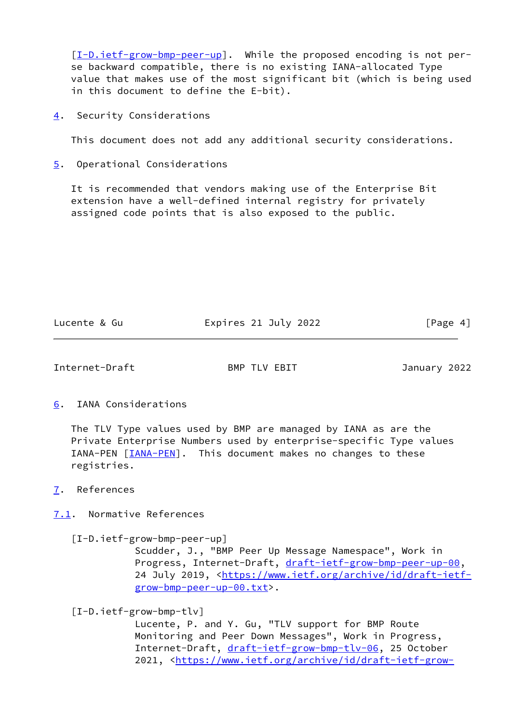[\[I-D.ietf-grow-bmp-peer-up](#page-4-7)]. While the proposed encoding is not per se backward compatible, there is no existing IANA-allocated Type value that makes use of the most significant bit (which is being used in this document to define the E-bit).

<span id="page-4-0"></span>[4](#page-4-0). Security Considerations

This document does not add any additional security considerations.

<span id="page-4-1"></span>[5](#page-4-1). Operational Considerations

 It is recommended that vendors making use of the Enterprise Bit extension have a well-defined internal registry for privately assigned code points that is also exposed to the public.

Lucente & Gu **Expires 21 July 2022** [Page 4]

<span id="page-4-3"></span>Internet-Draft BMP TLV EBIT January 2022

<span id="page-4-2"></span>[6](#page-4-2). IANA Considerations

 The TLV Type values used by BMP are managed by IANA as are the Private Enterprise Numbers used by enterprise-specific Type values IANA-PEN [\[IANA-PEN](#page-5-3)]. This document makes no changes to these registries.

<span id="page-4-4"></span>[7](#page-4-4). References

<span id="page-4-5"></span>[7.1](#page-4-5). Normative References

<span id="page-4-7"></span>[I-D.ietf-grow-bmp-peer-up]

 Scudder, J., "BMP Peer Up Message Namespace", Work in Progress, Internet-Draft, [draft-ietf-grow-bmp-peer-up-00](https://datatracker.ietf.org/doc/pdf/draft-ietf-grow-bmp-peer-up-00), 24 July 2019, [<https://www.ietf.org/archive/id/draft-ietf](https://www.ietf.org/archive/id/draft-ietf-grow-bmp-peer-up-00.txt) [grow-bmp-peer-up-00.txt](https://www.ietf.org/archive/id/draft-ietf-grow-bmp-peer-up-00.txt)>.

<span id="page-4-6"></span>[I-D.ietf-grow-bmp-tlv]

 Lucente, P. and Y. Gu, "TLV support for BMP Route Monitoring and Peer Down Messages", Work in Progress, Internet-Draft, [draft-ietf-grow-bmp-tlv-06,](https://datatracker.ietf.org/doc/pdf/draft-ietf-grow-bmp-tlv-06) 25 October 2021, [<https://www.ietf.org/archive/id/draft-ietf-grow-](https://www.ietf.org/archive/id/draft-ietf-grow-bmp-tlv-06.txt)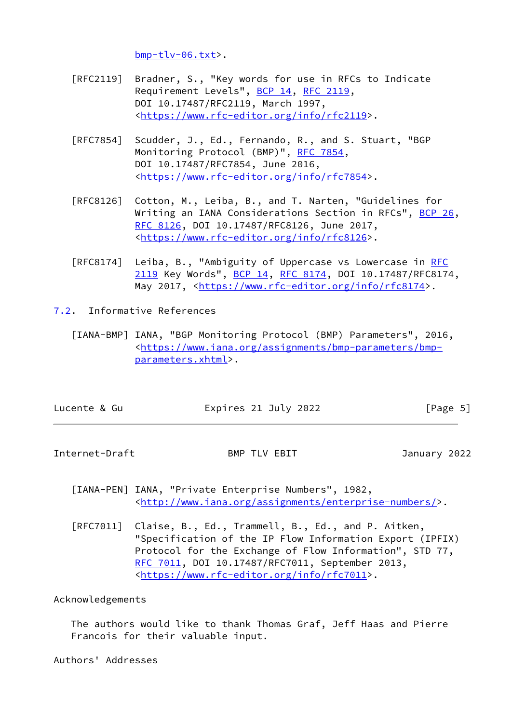[bmp-tlv-06.txt](https://www.ietf.org/archive/id/draft-ietf-grow-bmp-tlv-06.txt)>.

- [RFC2119] Bradner, S., "Key words for use in RFCs to Indicate Requirement Levels", [BCP 14](https://datatracker.ietf.org/doc/pdf/bcp14), [RFC 2119](https://datatracker.ietf.org/doc/pdf/rfc2119), DOI 10.17487/RFC2119, March 1997, <[https://www.rfc-editor.org/info/rfc2119>](https://www.rfc-editor.org/info/rfc2119).
- [RFC7854] Scudder, J., Ed., Fernando, R., and S. Stuart, "BGP Monitoring Protocol (BMP)", [RFC 7854,](https://datatracker.ietf.org/doc/pdf/rfc7854) DOI 10.17487/RFC7854, June 2016, <[https://www.rfc-editor.org/info/rfc7854>](https://www.rfc-editor.org/info/rfc7854).
- [RFC8126] Cotton, M., Leiba, B., and T. Narten, "Guidelines for Writing an IANA Considerations Section in RFCs", [BCP 26](https://datatracker.ietf.org/doc/pdf/bcp26), [RFC 8126,](https://datatracker.ietf.org/doc/pdf/rfc8126) DOI 10.17487/RFC8126, June 2017, <[https://www.rfc-editor.org/info/rfc8126>](https://www.rfc-editor.org/info/rfc8126).
- [RFC8174] Leiba, B., "Ambiguity of Uppercase vs Lowercase in [RFC](https://datatracker.ietf.org/doc/pdf/rfc2119) [2119](https://datatracker.ietf.org/doc/pdf/rfc2119) Key Words", [BCP 14](https://datatracker.ietf.org/doc/pdf/bcp14), [RFC 8174,](https://datatracker.ietf.org/doc/pdf/rfc8174) DOI 10.17487/RFC8174, May 2017, [<https://www.rfc-editor.org/info/rfc8174](https://www.rfc-editor.org/info/rfc8174)>.

<span id="page-5-0"></span>[7.2](#page-5-0). Informative References

<span id="page-5-2"></span> [IANA-BMP] IANA, "BGP Monitoring Protocol (BMP) Parameters", 2016, <[https://www.iana.org/assignments/bmp-parameters/bmp](https://www.iana.org/assignments/bmp-parameters/bmp-parameters.xhtml) [parameters.xhtml>](https://www.iana.org/assignments/bmp-parameters/bmp-parameters.xhtml).

| Lucente & Gu | Expires 21 July 2022 | [Page 5] |
|--------------|----------------------|----------|
|              |                      |          |

<span id="page-5-1"></span>Internet-Draft BMP TLV EBIT January 2022

<span id="page-5-3"></span> [IANA-PEN] IANA, "Private Enterprise Numbers", 1982, <[http://www.iana.org/assignments/enterprise-numbers/>](http://www.iana.org/assignments/enterprise-numbers/).

 [RFC7011] Claise, B., Ed., Trammell, B., Ed., and P. Aitken, "Specification of the IP Flow Information Export (IPFIX) Protocol for the Exchange of Flow Information", STD 77, [RFC 7011,](https://datatracker.ietf.org/doc/pdf/rfc7011) DOI 10.17487/RFC7011, September 2013, <[https://www.rfc-editor.org/info/rfc7011>](https://www.rfc-editor.org/info/rfc7011).

Acknowledgements

 The authors would like to thank Thomas Graf, Jeff Haas and Pierre Francois for their valuable input.

Authors' Addresses